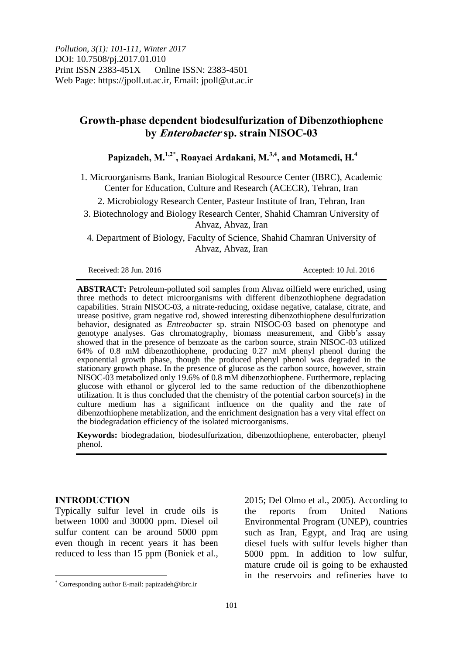*Pollution, 3(1): 101-111, Winter 2017* DOI: 10.7508/pj.2017.01.010 Print ISSN 2383-451X Online ISSN: 2383-4501 Web Page: https://jpoll.ut.ac.ir, Email: jpoll@ut.ac.ir

# **Growth-phase dependent biodesulfurization of Dibenzothiophene by Enterobacter sp. strain NISOC-03**

# **Papizadeh, M.1,2\* , Roayaei Ardakani, M.3,4 , and Motamedi, H.<sup>4</sup>**

1. Microorganisms Bank, Iranian Biological Resource Center (IBRC), Academic Center for Education, Culture and Research (ACECR), Tehran, Iran

2. Microbiology Research Center, Pasteur Institute of Iran, Tehran, Iran

3. Biotechnology and Biology Research Center, Shahid Chamran University of Ahvaz, Ahvaz, Iran

4. Department of Biology, Faculty of Science, Shahid Chamran University of Ahvaz, Ahvaz, Iran

Received: 28 Jun. 2016 **Accepted: 10 Jul. 2016** Accepted: 10 Jul. 2016

**ABSTRACT:** Petroleum-polluted soil samples from Ahvaz oilfield were enriched, using three methods to detect microorganisms with different dibenzothiophene degradation capabilities. Strain NISOC-03, a nitrate-reducing, oxidase negative, catalase, citrate, and urease positive, gram negative rod, showed interesting dibenzothiophene desulfurization behavior, designated as *Entreobacter* sp. strain NISOC-03 based on phenotype and genotype analyses. Gas chromatography, biomass measurement, and Gibb's assay showed that in the presence of benzoate as the carbon source, strain NISOC-03 utilized 64% of 0.8 mM dibenzothiophene, producing 0.27 mM phenyl phenol during the exponential growth phase, though the produced phenyl phenol was degraded in the stationary growth phase. In the presence of glucose as the carbon source, however, strain NISOC-03 metabolized only 19.6% of 0.8 mM dibenzothiophene. Furthermore, replacing glucose with ethanol or glycerol led to the same reduction of the dibenzothiophene utilization. It is thus concluded that the chemistry of the potential carbon source $(s)$  in the culture medium has a significant influence on the quality and the rate of dibenzothiophene metablization, and the enrichment designation has a very vital effect on the biodegradation efficiency of the isolated microorganisms.

**Keywords:** biodegradation, biodesulfurization, dibenzothiophene, enterobacter, phenyl phenol.

## **INTRODUCTION**

 $\overline{a}$ 

Typically sulfur level in crude oils is between 1000 and 30000 ppm. Diesel oil sulfur content can be around 5000 ppm even though in recent years it has been reduced to less than 15 ppm (Boniek et al.,

2015; Del Olmo et al., 2005). According to the reports from United Nations Environmental Program (UNEP), countries such as Iran, Egypt, and Iraq are using diesel fuels with sulfur levels higher than 5000 ppm. In addition to low sulfur, mature crude oil is going to be exhausted in the reservoirs and refineries have to

Corresponding author E-mail: papizadeh@ibrc.ir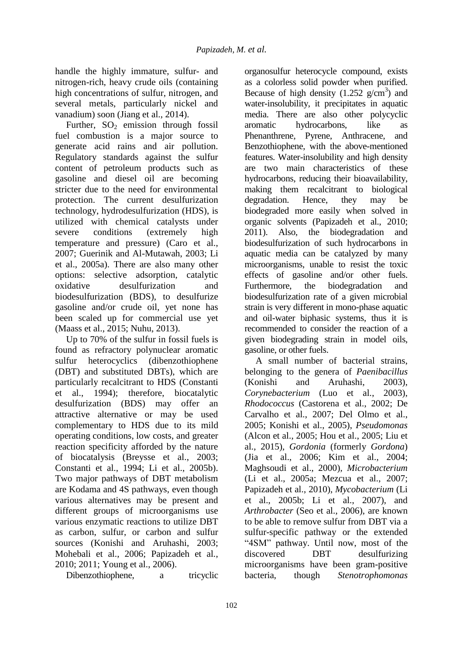handle the highly immature, sulfur- and nitrogen-rich, heavy crude oils (containing high concentrations of sulfur, nitrogen, and several metals, particularly nickel and vanadium) soon (Jiang et al., 2014).

Further,  $SO<sub>2</sub>$  emission through fossil fuel combustion is a major source to generate acid rains and air pollution. Regulatory standards against the sulfur content of petroleum products such as gasoline and diesel oil are becoming stricter due to the need for environmental protection. The current desulfurization technology, hydrodesulfurization (HDS), is utilized with chemical catalysts under severe conditions (extremely high temperature and pressure) (Caro et al., 2007; Guerinik and Al-Mutawah, 2003; Li et al., 2005a). There are also many other options: selective adsorption, catalytic oxidative desulfurization and biodesulfurization (BDS), to desulfurize gasoline and/or crude oil, yet none has been scaled up for commercial use yet (Maass et al., 2015; Nuhu, 2013).

Up to 70% of the sulfur in fossil fuels is found as refractory polynuclear aromatic sulfur heterocyclics (dibenzothiophene (DBT) and substituted DBTs), which are particularly recalcitrant to HDS (Constanti et al., 1994); therefore, biocatalytic desulfurization (BDS) may offer an attractive alternative or may be used complementary to HDS due to its mild operating conditions, low costs, and greater reaction specificity afforded by the nature of biocatalysis (Breysse et al., 2003; Constanti et al., 1994; Li et al., 2005b). Two major pathways of DBT metabolism are Kodama and 4S pathways, even though various alternatives may be present and different groups of microorganisms use various enzymatic reactions to utilize DBT as carbon, sulfur, or carbon and sulfur sources (Konishi and Aruhashi, 2003; Mohebali et al., 2006; Papizadeh et al., 2010; 2011; Young et al., 2006).

Dibenzothiophene, a tricyclic

organosulfur heterocycle compound, exists as a colorless solid powder when purified. Because of high density  $(1.252 \text{ g/cm}^3)$  and water-insolubility, it precipitates in aquatic media. There are also other polycyclic aromatic hydrocarbons, like as Phenanthrene, Pyrene, Anthracene, and Benzothiophene, with the above-mentioned features. Water-insolubility and high density are two main characteristics of these hydrocarbons, reducing their bioavailability, making them recalcitrant to biological degradation. Hence, they may be biodegraded more easily when solved in organic solvents (Papizadeh et al., 2010; 2011). Also, the biodegradation and biodesulfurization of such hydrocarbons in aquatic media can be catalyzed by many microorganisms, unable to resist the toxic effects of gasoline and/or other fuels. Furthermore, the biodegradation and biodesulfurization rate of a given microbial strain is very different in mono-phase aquatic and oil-water biphasic systems, thus it is recommended to consider the reaction of a given biodegrading strain in model oils, gasoline, or other fuels.

A small number of bacterial strains, belonging to the genera of *Paenibacillus* (Konishi and Aruhashi, 2003), *Corynebacterium* (Luo et al., 2003), *Rhodococcus* (Castorena et al., 2002; De Carvalho et al., 2007; Del Olmo et al., 2005; Konishi et al., 2005), *Pseudomonas* (Alcon et al., 2005; Hou et al., 2005; Liu et al., 2015)*, Gordonia* (formerly *Gordona*) (Jia et al., 2006; Kim et al., 2004; Maghsoudi et al., 2000)*, Microbacterium* (Li et al., 2005a; Mezcua et al., 2007; Papizadeh et al., 2010), *Mycobacterium* (Li et al., 2005b; Li et al., 2007), and *Arthrobacter* (Seo et al., 2006), are known to be able to remove sulfur from DBT via a sulfur-specific pathway or the extended "4SM" pathway. Until now, most of the discovered DBT desulfurizing microorganisms have been gram-positive bacteria, though *Stenotrophomonas*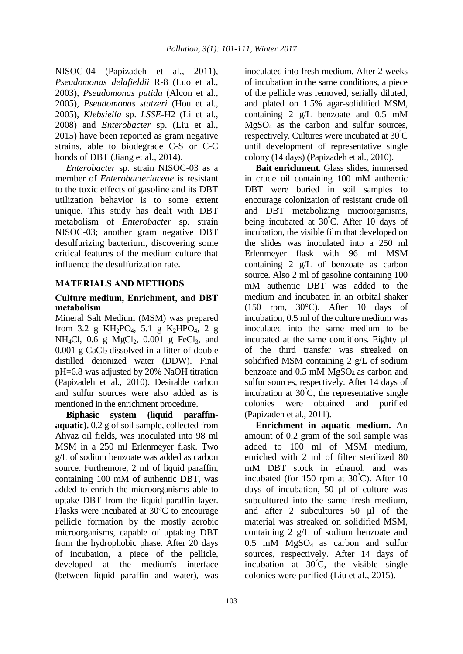NISOC-04 (Papizadeh et al., 2011), *Pseudomonas delafieldii* R-8 (Luo et al., 2003), *Pseudomonas putida* (Alcon et al., 2005), *Pseudomonas stutzeri* (Hou et al., 2005), *Klebsiella* sp. *LSSE-*H2 (Li et al., 2008) and *Enterobacter* sp. (Liu et al., 2015) have been reported as gram negative strains, able to biodegrade C-S or C-C bonds of DBT (Jiang et al., 2014).

*Enterobacter* sp. strain NISOC-03 as a member of *Enterobacteriaceae* is resistant to the toxic effects of gasoline and its DBT utilization behavior is to some extent unique. This study has dealt with DBT metabolism of *Enterobacter* sp. strain NISOC-03; another gram negative DBT desulfurizing bacterium, discovering some critical features of the medium culture that influence the desulfurization rate.

## **MATERIALS AND METHODS**

#### **Culture medium, Enrichment, and DBT metabolism**

Mineral Salt Medium (MSM) was prepared from 3.2 g  $KH_2PO_4$ , 5.1 g  $K_2HPO_4$ , 2 g NH<sub>4</sub>Cl, 0.6 g MgCl<sub>2</sub>, 0.001 g FeCl<sub>3</sub>, and  $0.001$  g CaCl<sub>2</sub> dissolved in a litter of double distilled deionized water (DDW). Final pH=6.8 was adjusted by 20% NaOH titration (Papizadeh et al., 2010). Desirable carbon and sulfur sources were also added as is mentioned in the enrichment procedure.

**Biphasic system (liquid paraffinaquatic).** 0.2 g of soil sample, collected from Ahvaz oil fields, was inoculated into 98 ml MSM in a 250 ml Erlenmeyer flask. Two g/L of sodium benzoate was added as carbon source. Furthemore, 2 ml of liquid paraffin, containing 100 mM of authentic DBT, was added to enrich the microorganisms able to uptake DBT from the liquid paraffin layer. Flasks were incubated at 30°C to encourage pellicle formation by the mostly aerobic microorganisms, capable of uptaking DBT from the hydrophobic phase. After 20 days of incubation, a piece of the pellicle, developed at the medium's interface (between liquid paraffin and water), was

inoculated into fresh medium. After 2 weeks of incubation in the same conditions, a piece of the pellicle was removed, serially diluted, and plated on 1.5% agar-solidified MSM, containing 2 g/L benzoate and 0.5 mM  $MgSO<sub>4</sub>$  as the carbon and sulfur sources, respectively. Cultures were incubated at 30 °C until development of representative single colony (14 days) (Papizadeh et al., 2010).

**Bait enrichment.** Glass slides, immersed in crude oil containing 100 mM authentic DBT were buried in soil samples to encourage colonization of resistant crude oil and DBT metabolizing microorganisms, being incubated at 30°C. After 10 days of incubation, the visible film that developed on the slides was inoculated into a 250 ml Erlenmeyer flask with 96 ml MSM containing 2 g/L of benzoate as carbon source. Also 2 ml of gasoline containing 100 mM authentic DBT was added to the medium and incubated in an orbital shaker (150 rpm, 30°C). After 10 days of incubation, 0.5 ml of the culture medium was inoculated into the same medium to be incubated at the same conditions. Eighty µl of the third transfer was streaked on solidified MSM containing 2 g/L of sodium benzoate and  $0.5$  mM MgSO<sub>4</sub> as carbon and sulfur sources, respectively. After 14 days of incubation at  $30^{\circ}$ C, the representative single colonies were obtained and purified (Papizadeh et al., 2011).

**Enrichment in aquatic medium.** An amount of 0.2 gram of the soil sample was added to 100 ml of MSM medium, enriched with 2 ml of filter sterilized 80 mM DBT stock in ethanol, and was incubated (for 150 rpm at  $30^{\circ}$ C). After 10 days of incubation, 50 µl of culture was subcultured into the same fresh medium, and after 2 subcultures 50 µl of the material was streaked on solidified MSM, containing 2 g/L of sodium benzoate and  $0.5$  mM MgSO<sub>4</sub> as carbon and sulfur sources, respectively. After 14 days of incubation at  $30^{\circ}$ C, the visible single colonies were purified (Liu et al., 2015).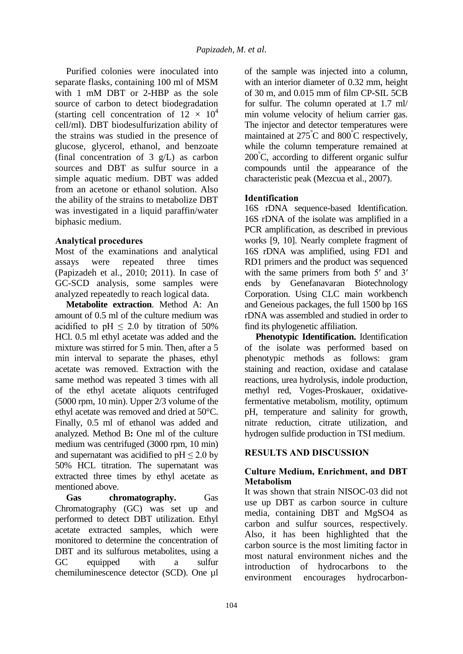Purified colonies were inoculated into separate flasks, containing 100 ml of MSM with 1 mM DBT or 2-HBP as the sole source of carbon to detect biodegradation (starting cell concentration of  $12 \times 10^4$ cell/ml). DBT biodesulfurization ability of the strains was studied in the presence of glucose, glycerol, ethanol, and benzoate (final concentration of 3 g/L) as carbon sources and DBT as sulfur source in a simple aquatic medium. DBT was added from an acetone or ethanol solution. Also the ability of the strains to metabolize DBT was investigated in a liquid paraffin/water biphasic medium.

# **Analytical procedures**

Most of the examinations and analytical assays were repeated three times (Papizadeh et al., 2010; 2011). In case of GC-SCD analysis, some samples were analyzed repeatedly to reach logical data.

**Metabolite extraction**. Method A: An amount of 0.5 ml of the culture medium was acidified to pH  $\leq$  2.0 by titration of 50% HCl. 0.5 ml ethyl acetate was added and the mixture was stirred for 5 min. Then, after a 5 min interval to separate the phases, ethyl acetate was removed. Extraction with the same method was repeated 3 times with all of the ethyl acetate aliquots centrifuged (5000 rpm, 10 min). Upper 2/3 volume of the ethyl acetate was removed and dried at 50°C. Finally, 0.5 ml of ethanol was added and analyzed. Method B**:** One ml of the culture medium was centrifuged (3000 rpm, 10 min) and supernatant was acidified to  $pH \leq 2.0$  by 50% HCL titration. The supernatant was extracted three times by ethyl acetate as mentioned above.

**Gas chromatography.** Gas Chromatography (GC) was set up and performed to detect DBT utilization. Ethyl acetate extracted samples, which were monitored to determine the concentration of DBT and its sulfurous metabolites, using a GC equipped with a sulfur chemiluminescence detector (SCD). One µl of the sample was injected into a column, with an interior diameter of 0.32 mm, height of 30 m, and 0.015 mm of film CP-SIL 5CB for sulfur. The column operated at 1.7 ml/ min volume velocity of helium carrier gas. The injector and detector temperatures were maintained at 275°C and 800°C respectively, while the column temperature remained at  $200^{\circ}$ C, according to different organic sulfur compounds until the appearance of the characteristic peak (Mezcua et al., 2007).

# **Identification**

16S rDNA sequence-based Identification. 16S rDNA of the isolate was amplified in a PCR amplification, as described in previous works [9, 10]. Nearly complete fragment of 16S rDNA was amplified, using FD1 and RD1 primers and the product was sequenced with the same primers from both 5' and 3' ends by Genefanavaran Biotechnology Corporation. Using CLC main workbench and Geneious packages, the full 1500 bp 16S rDNA was assembled and studied in order to find its phylogenetic affiliation.

**Phenotypic Identification.** Identification of the isolate was performed based on phenotypic methods as follows: gram staining and reaction, oxidase and catalase reactions, urea hydrolysis, indole production, methyl red, Voges-Proskauer, oxidativefermentative metabolism, motility, optimum pH, temperature and salinity for growth, nitrate reduction, citrate utilization, and hydrogen sulfide production in TSI medium.

## **RESULTS AND DISCUSSION**

## **Culture Medium, Enrichment, and DBT Metabolism**

It was shown that strain NISOC-03 did not use up DBT as carbon source in culture media, containing DBT and MgSO4 as carbon and sulfur sources, respectively. Also, it has been highlighted that the carbon source is the most limiting factor in most natural environment niches and the introduction of hydrocarbons to the environment encourages hydrocarbon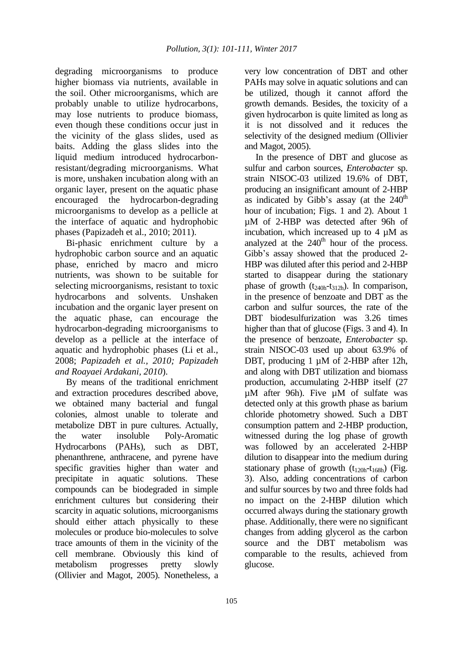degrading microorganisms to produce higher biomass via nutrients, available in the soil. Other microorganisms, which are probably unable to utilize hydrocarbons, may lose nutrients to produce biomass, even though these conditions occur just in the vicinity of the glass slides, used as baits. Adding the glass slides into the liquid medium introduced hydrocarbonresistant/degrading microorganisms. What is more, unshaken incubation along with an organic layer, present on the aquatic phase encouraged the hydrocarbon-degrading microorganisms to develop as a pellicle at the interface of aquatic and hydrophobic phases (Papizadeh et al., 2010; 2011).

Bi-phasic enrichment culture by a hydrophobic carbon source and an aquatic phase, enriched by macro and micro nutrients, was shown to be suitable for selecting microorganisms, resistant to toxic hydrocarbons and solvents. Unshaken incubation and the organic layer present on the aquatic phase, can encourage the hydrocarbon-degrading microorganisms to develop as a pellicle at the interface of aquatic and hydrophobic phases (Li et al., 2008; *Papizadeh et al., 2010; Papizadeh and Roayaei Ardakani, 2010*).

By means of the traditional enrichment and extraction procedures described above, we obtained many bacterial and fungal colonies, almost unable to tolerate and metabolize DBT in pure cultures. Actually, the water insoluble Poly-Aromatic Hydrocarbons (PAHs), such as DBT, phenanthrene, anthracene, and pyrene have specific gravities higher than water and precipitate in aquatic solutions. These compounds can be biodegraded in simple enrichment cultures but considering their scarcity in aquatic solutions, microorganisms should either attach physically to these molecules or produce bio-molecules to solve trace amounts of them in the vicinity of the cell membrane. Obviously this kind of metabolism progresses pretty slowly (Ollivier and Magot, 2005). Nonetheless, a very low concentration of DBT and other PAHs may solve in aquatic solutions and can be utilized, though it cannot afford the growth demands. Besides, the toxicity of a given hydrocarbon is quite limited as long as it is not dissolved and it reduces the selectivity of the designed medium (Ollivier and Magot, 2005).

In the presence of DBT and glucose as sulfur and carbon sources, *Enterobacter* sp. strain NISOC-03 utilized 19.6% of DBT, producing an insignificant amount of 2-HBP as indicated by Gibb's assay (at the  $240<sup>th</sup>$ hour of incubation; Figs. 1 and 2). About 1 µM of 2-HBP was detected after 96h of incubation, which increased up to 4 µM as analyzed at the  $240<sup>th</sup>$  hour of the process. Gibb's assay showed that the produced 2- HBP was diluted after this period and 2-HBP started to disappear during the stationary phase of growth  $(t_{240h} - t_{312h})$ . In comparison, in the presence of benzoate and DBT as the carbon and sulfur sources, the rate of the DBT biodesulfurization was 3.26 times higher than that of glucose (Figs. 3 and 4). In the presence of benzoate, *Enterobacter* sp. strain NISOC-03 used up about 63.9% of DBT, producing 1 µM of 2-HBP after 12h, and along with DBT utilization and biomass production, accumulating 2-HBP itself (27 µM after 96h). Five µM of sulfate was detected only at this growth phase as barium chloride photometry showed. Such a DBT consumption pattern and 2-HBP production, witnessed during the log phase of growth was followed by an accelerated 2-HBP dilution to disappear into the medium during stationary phase of growth  $(t_{120h} - t_{168h})$  (Fig. 3). Also, adding concentrations of carbon and sulfur sources by two and three folds had no impact on the 2-HBP dilution which occurred always during the stationary growth phase. Additionally, there were no significant changes from adding glycerol as the carbon source and the DBT metabolism was comparable to the results, achieved from glucose.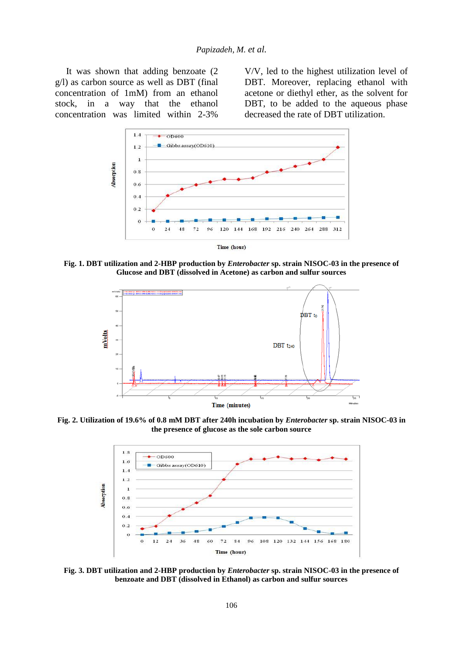It was shown that adding benzoate (2 g/l) as carbon source as well as DBT (final concentration of 1mM) from an ethanol stock, in a way that the ethanol concentration was limited within 2-3%

V/V, led to the highest utilization level of DBT. Moreover, replacing ethanol with acetone or diethyl ether, as the solvent for DBT, to be added to the aqueous phase decreased the rate of DBT utilization.



**Fig. 1. DBT utilization and 2-HBP production by** *Enterobacter* **sp. strain NISOC-03 in the presence of Glucose and DBT (dissolved in Acetone) as carbon and sulfur sources**



**Fig. 2. Utilization of 19.6% of 0.8 mM DBT after 240h incubation by** *Enterobacter* **sp. strain NISOC-03 in the presence of glucose as the sole carbon source**



**Fig. 3. DBT utilization and 2-HBP production by** *Enterobacter* **sp. strain NISOC-03 in the presence of benzoate and DBT (dissolved in Ethanol) as carbon and sulfur sources**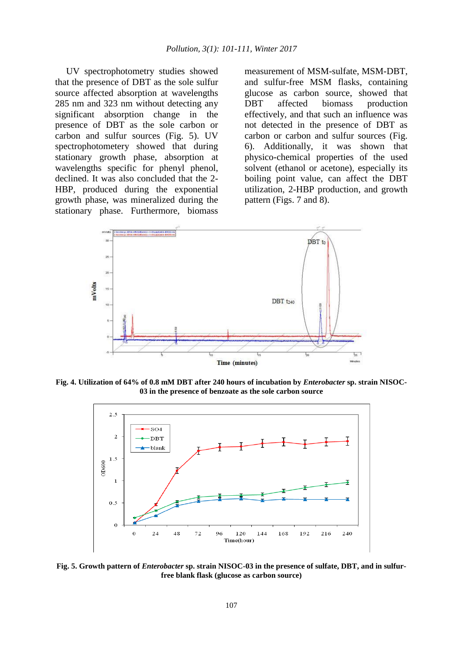UV spectrophotometry studies showed that the presence of DBT as the sole sulfur source affected absorption at wavelengths 285 nm and 323 nm without detecting any significant absorption change in the presence of DBT as the sole carbon or carbon and sulfur sources (Fig. 5). UV spectrophotometery showed that during stationary growth phase, absorption at wavelengths specific for phenyl phenol, declined. It was also concluded that the 2- HBP, produced during the exponential growth phase, was mineralized during the stationary phase. Furthermore, biomass

measurement of MSM-sulfate, MSM-DBT, and sulfur-free MSM flasks, containing glucose as carbon source, showed that DBT affected biomass production effectively, and that such an influence was not detected in the presence of DBT as carbon or carbon and sulfur sources (Fig. 6). Additionally, it was shown that physico-chemical properties of the used solvent (ethanol or acetone), especially its boiling point value, can affect the DBT utilization, 2-HBP production, and growth pattern (Figs. 7 and 8).



**Fig. 4. Utilization of 64% of 0.8 mM DBT after 240 hours of incubation by** *Enterobacter* **sp. strain NISOC-03 in the presence of benzoate as the sole carbon source**



**Fig. 5. Growth pattern of** *Enterobacter* **sp. strain NISOC-03 in the presence of sulfate, DBT, and in sulfurfree blank flask (glucose as carbon source)**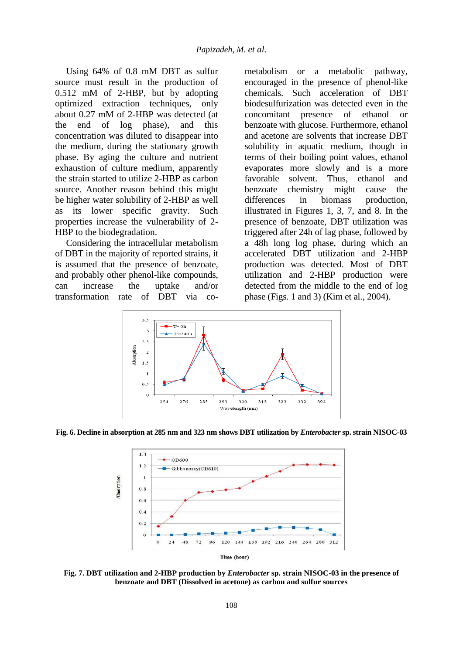Using 64% of 0.8 mM DBT as sulfur source must result in the production of 0.512 mM of 2-HBP, but by adopting optimized extraction techniques, only about 0.27 mM of 2-HBP was detected (at the end of log phase), and this concentration was diluted to disappear into the medium, during the stationary growth phase. By aging the culture and nutrient exhaustion of culture medium, apparently the strain started to utilize 2-HBP as carbon source. Another reason behind this might be higher water solubility of 2-HBP as well as its lower specific gravity. Such properties increase the vulnerability of 2- HBP to the biodegradation.

Considering the intracellular metabolism of DBT in the majority of reported strains, it is assumed that the presence of benzoate, and probably other phenol-like compounds, can increase the uptake and/or transformation rate of DBT via cometabolism or a metabolic pathway, encouraged in the presence of phenol-like chemicals. Such acceleration of DBT biodesulfurization was detected even in the concomitant presence of ethanol or benzoate with glucose. Furthermore, ethanol and acetone are solvents that increase DBT solubility in aquatic medium, though in terms of their boiling point values, ethanol evaporates more slowly and is a more favorable solvent. Thus, ethanol and benzoate chemistry might cause the differences in biomass production, illustrated in Figures 1, 3, 7, and 8. In the presence of benzoate, DBT utilization was triggered after 24h of lag phase, followed by a 48h long log phase, during which an accelerated DBT utilization and 2-HBP production was detected. Most of DBT utilization and 2-HBP production were detected from the middle to the end of log phase (Figs. 1 and 3) (Kim et al., 2004).



**Fig. 6. Decline in absorption at 285 nm and 323 nm shows DBT utilization by** *Enterobacter* **sp. strain NISOC-03**



**Fig. 7. DBT utilization and 2-HBP production by** *Enterobacter* **sp. strain NISOC-03 in the presence of benzoate and DBT (Dissolved in acetone) as carbon and sulfur sources**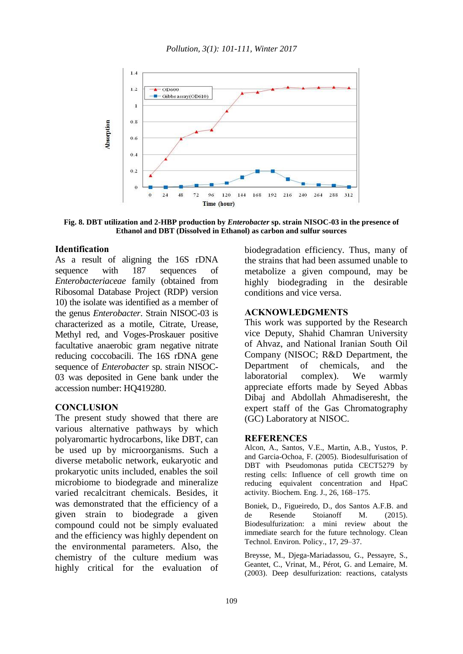

**Fig. 8. DBT utilization and 2-HBP production by** *Enterobacter* **sp. strain NISOC-03 in the presence of Ethanol and DBT (Dissolved in Ethanol) as carbon and sulfur sources**

#### **Identification**

As a result of aligning the 16S rDNA sequence with 187 sequences of *Enterobacteriaceae* family (obtained from Ribosomal Database Project (RDP) version 10) the isolate was identified as a member of the genus *Enterobacter*. Strain NISOC-03 is characterized as a motile, Citrate, Urease, Methyl red, and Voges-Proskauer positive facultative anaerobic gram negative nitrate reducing coccobacili. The 16S rDNA gene sequence of *Enterobacter* sp. strain NISOC-03 was deposited in Gene bank under the accession number: HQ419280.

#### **CONCLUSION**

The present study showed that there are various alternative pathways by which polyaromartic hydrocarbons, like DBT, can be used up by microorganisms. Such a diverse metabolic network, eukaryotic and prokaryotic units included, enables the soil microbiome to biodegrade and mineralize varied recalcitrant chemicals. Besides, it was demonstrated that the efficiency of a given strain to biodegrade a given compound could not be simply evaluated and the efficiency was highly dependent on the environmental parameters. Also, the chemistry of the culture medium was highly critical for the evaluation of

biodegradation efficiency. Thus, many of the strains that had been assumed unable to metabolize a given compound, may be highly biodegrading in the desirable conditions and vice versa.

#### **ACKNOWLEDGMENTS**

This work was supported by the Research vice Deputy, Shahid Chamran University of Ahvaz, and National Iranian South Oil Company (NISOC; R&D Department, the Department of chemicals, and the laboratorial complex). We warmly appreciate efforts made by Seyed Abbas Dibaj and Abdollah Ahmadiseresht, the expert staff of the Gas Chromatography (GC) Laboratory at NISOC.

#### **REFERENCES**

Alcon, A., Santos, V.E., Martin, A.B., Yustos, P. and Garcia-Ochoa, F. (2005). Biodesulfurisation of DBT with Pseudomonas putida CECT5279 by resting cells: Influence of cell growth time on reducing equivalent concentration and HpaC activity. Biochem. Eng. J., 26, 168–175.

Boniek, D., Figueiredo, D., dos Santos A.F.B. and de Resende Stoianoff M. (2015). Biodesulfurization: a mini review about the immediate search for the future technology. Clean Technol. Environ. Policy., 17, 29–37.

Breysse, M., Djega-Mariadassou, G., Pessayre, S., Geantet, C., Vrinat, M., Pérot, G. and Lemaire, M. (2003). Deep desulfurization: reactions, catalysts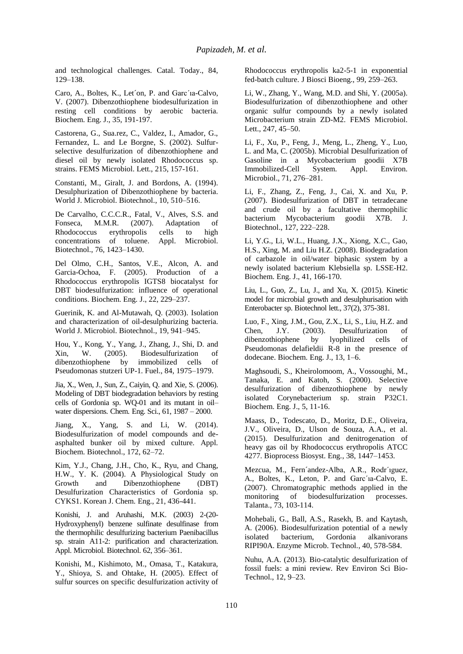and technological challenges. Catal. Today., 84, 129–138.

Caro, A., Boltes, K., Let´on, P. and Garc´ıa-Calvo, V. (2007). Dibenzothiophene biodesulfurization in resting cell conditions by aerobic bacteria. Biochem. Eng. J., 35, 191-197.

Castorena, G., Sua.rez, C., Valdez, I., Amador, G., Fernandez, L. and Le Borgne, S. (2002). Sulfurselective desulfurization of dibenzothiophene and diesel oil by newly isolated Rhodococcus sp. strains. FEMS Microbiol. Lett., 215, 157-161.

Constanti, M., Giralt, J. and Bordons, A. (1994). Desulphurization of Dibenzothiophene by bacteria. World J. Microbiol. Biotechnol., 10, 510–516.

De Carvalho, C.C.C.R., Fatal, V., Alves, S.S. and Fonseca, M.M.R. (2007). Adaptation of Rhodococcus erythropolis cells to high concentrations of toluene. Appl. Microbiol. Biotechnol., 76, 1423–1430.

Del Olmo, C.H., Santos, V.E., Alcon, A. and Garcia-Ochoa, F. (2005). Production of a Rhodococcus erythropolis IGTS8 biocatalyst for DBT biodesulfurization: influence of operational conditions. Biochem. Eng. J., 22, 229–237.

Guerinik, K. and Al-Mutawah, Q. (2003). Isolation and characterization of oil-desulphurizing bacteria. World J. Microbiol. Biotechnol., 19, 941–945.

Hou, Y., Kong, Y., Yang, J., Zhang, J., Shi, D. and Xin, W. (2005). Biodesulfurization of dibenzothiophene by immobilized cells of Pseudomonas stutzeri UP-1. Fuel., 84, 1975–1979.

Jia, X., Wen, J., Sun, Z., Caiyin, Q. and Xie, S. (2006). Modeling of DBT biodegradation behaviors by resting cells of Gordonia sp. WQ-01 and its mutant in oil– water dispersions. Chem. Eng. Sci., 61, 1987 – 2000.

Jiang, X., Yang, S. and Li, W. (2014). Biodesulfurization of model compounds and deasphalted bunker oil by mixed culture. Appl. Biochem. Biotechnol., 172, 62–72.

Kim, Y.J., Chang, J.H., Cho, K., Ryu, and Chang, H.W., Y. K. (2004). A Physiological Study on Growth and Dibenzothiophene (DBT) Desulfurization Characteristics of Gordonia sp. CYKS1. Korean J. Chem. Eng., 21, 436-441.

Konishi, J. and Aruhashi, M.K. (2003) 2-(20- Hydroxyphenyl) benzene sulfinate desulfinase from the thermophilic desulfurizing bacterium Paenibacillus sp. strain A11-2: purification and characterization. Appl. Microbiol. Biotechnol. 62, 356–361.

Konishi, M., Kishimoto, M., Omasa, T., Katakura, Y., Shioya, S. and Ohtake, H. (2005). Effect of sulfur sources on specific desulfurization activity of Rhodococcus erythropolis ka2-5-1 in exponential fed-batch culture. J Biosci Bioeng., 99, 259–263.

Li, W., Zhang, Y., Wang, M.D. and Shi, Y. (2005a). Biodesulfurization of dibenzothiophene and other organic sulfur compounds by a newly isolated Microbacterium strain ZD-M2. FEMS Microbiol. Lett., 247, 45–50.

Li, F., Xu, P., Feng, J., Meng, L., Zheng, Y., Luo, L. and Ma, C. (2005b). Microbial Desulfurization of Gasoline in a Mycobacterium goodii X7B Immobilized-Cell System. Appl. Environ. Microbiol., 71, 276–281.

Li, F., Zhang, Z., Feng, J., Cai, X. and Xu, P. (2007). Biodesulfurization of DBT in tetradecane and crude oil by a facultative thermophilic bacterium Mycobacterium goodii X7B. J. Biotechnol., 127, 222–228.

Li, Y.G., Li, W.L., Huang, J.X., Xiong, X.C., Gao, H.S., Xing, M. and Liu H.Z. (2008). Biodegradation of carbazole in oil/water biphasic system by a newly isolated bacterium Klebsiella sp. LSSE-H2. Biochem. Eng. J., 41, 166-170.

Liu, L., Guo, Z., Lu, J., and Xu, X. (2015). Kinetic model for microbial growth and desulphurisation with Enterobacter sp. Biotechnol lett., 37(2), 375-381.

Luo, F., Xing, J.M., Gou, Z.X., Li, S., Liu, H.Z. and Chen, J.Y. (2003). Desulfurization of dibenzothiophene by lyophilized cells of Pseudomonas delafieldii R-8 in the presence of dodecane. Biochem. Eng. J., 13, 1–6.

Maghsoudi, S., Kheirolomoom, A., Vossoughi, M., Tanaka, E. and Katoh, S. (2000). Selective desulfurization of dibenzothiophene by newly isolated Corynebacterium sp. strain P32C1. Biochem. Eng. J., 5, 11-16.

Maass, D., Todescato, D., Moritz, D.E., Oliveira, J.V., Oliveira, D., Ulson de Souza, A.A., et al. (2015). Desulfurization and denitrogenation of heavy gas oil by Rhodococcus erythropolis ATCC 4277. Bioprocess Biosyst. Eng., 38, 1447–1453.

Mezcua, M., Fern´andez-Alba, A.R., Rodr´ıguez, A., Boltes, K., Leton, P. and Garc´ıa-Calvo, E. (2007). Chromatographic methods applied in the monitoring of biodesulfurization processes. Talanta., 73, 103-114.

Mohebali, G., Ball, A.S., Rasekh, B. and Kaytash, A. (2006). Biodesulfurization potential of a newly isolated bacterium, Gordonia alkanivorans RIPI90A. Enzyme Microb. Technol., 40, 578-584.

Nuhu, A.A. (2013). Bio-catalytic desulfurization of fossil fuels: a mini review. Rev Environ Sci Bio-Technol., 12, 9–23.